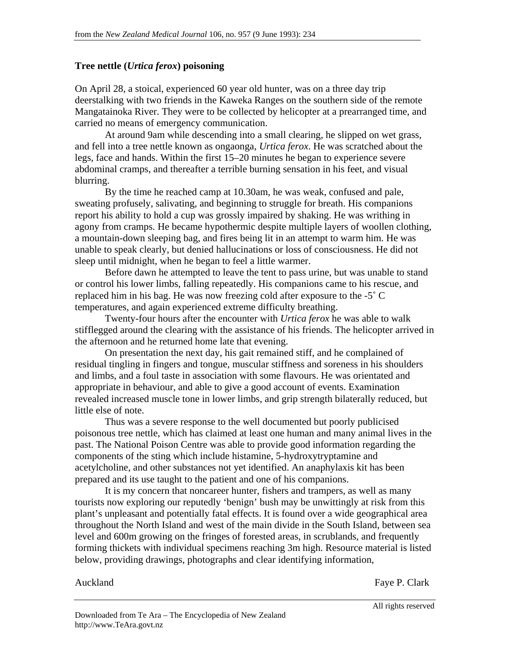## **Tree nettle (***Urtica ferox***) poisoning**

On April 28, a stoical, experienced 60 year old hunter, was on a three day trip deerstalking with two friends in the Kaweka Ranges on the southern side of the remote Mangatainoka River. They were to be collected by helicopter at a prearranged time, and carried no means of emergency communication.

At around 9am while descending into a small clearing, he slipped on wet grass, and fell into a tree nettle known as ongaonga, *Urtica ferox*. He was scratched about the legs, face and hands. Within the first 15–20 minutes he began to experience severe abdominal cramps, and thereafter a terrible burning sensation in his feet, and visual blurring.

By the time he reached camp at 10.30am, he was weak, confused and pale, sweating profusely, salivating, and beginning to struggle for breath. His companions report his ability to hold a cup was grossly impaired by shaking. He was writhing in agony from cramps. He became hypothermic despite multiple layers of woollen clothing, a mountain-down sleeping bag, and fires being lit in an attempt to warm him. He was unable to speak clearly, but denied hallucinations or loss of consciousness. He did not sleep until midnight, when he began to feel a little warmer.

 Before dawn he attempted to leave the tent to pass urine, but was unable to stand or control his lower limbs, falling repeatedly. His companions came to his rescue, and replaced him in his bag. He was now freezing cold after exposure to the -5˚ C temperatures, and again experienced extreme difficulty breathing.

Twenty-four hours after the encounter with *Urtica ferox* he was able to walk stifflegged around the clearing with the assistance of his friends. The helicopter arrived in the afternoon and he returned home late that evening.

On presentation the next day, his gait remained stiff, and he complained of residual tingling in fingers and tongue, muscular stiffness and soreness in his shoulders and limbs, and a foul taste in association with some flavours. He was orientated and appropriate in behaviour, and able to give a good account of events. Examination revealed increased muscle tone in lower limbs, and grip strength bilaterally reduced, but little else of note.

Thus was a severe response to the well documented but poorly publicised poisonous tree nettle, which has claimed at least one human and many animal lives in the past. The National Poison Centre was able to provide good information regarding the components of the sting which include histamine, 5-hydroxytryptamine and acetylcholine, and other substances not yet identified. An anaphylaxis kit has been prepared and its use taught to the patient and one of his companions.

It is my concern that noncareer hunter, fishers and trampers, as well as many tourists now exploring our reputedly 'benign' bush may be unwittingly at risk from this plant's unpleasant and potentially fatal effects. It is found over a wide geographical area throughout the North Island and west of the main divide in the South Island, between sea level and 600m growing on the fringes of forested areas, in scrublands, and frequently forming thickets with individual specimens reaching 3m high. Resource material is listed below, providing drawings, photographs and clear identifying information,

Auckland Faye P. Clark